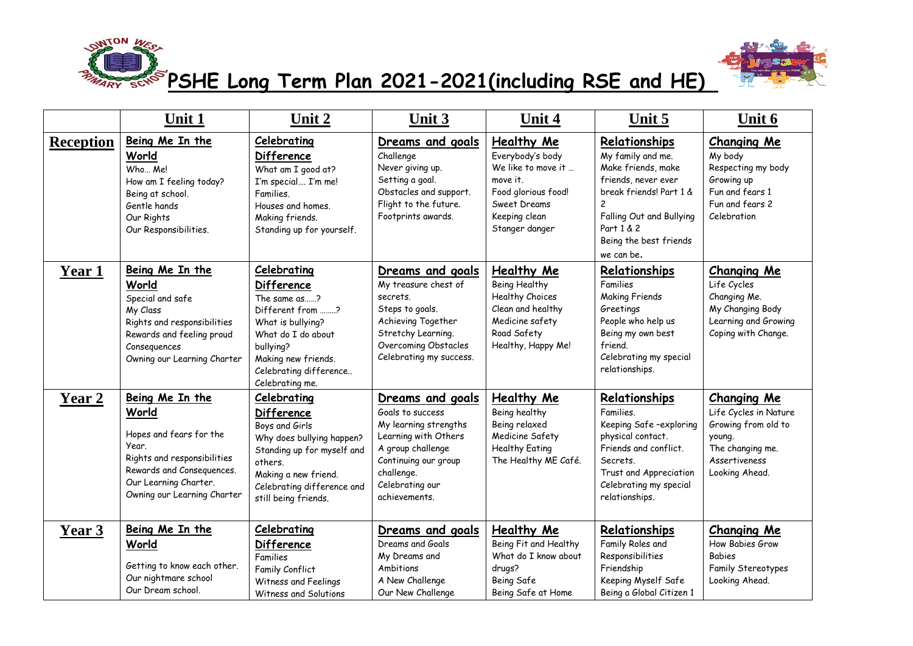



**PSHE Long Term Plan 2021-2021(including RSE and HE)**

|                  | Unit 1                                                                                                                                                                           | Unit 2                                                                                                                                                                                                  | Unit 3                                                                                                                                                                               | Unit 4                                                                                                                                     | Unit 5                                                                                                                                                                                                         | Unit 6                                                                                                                              |
|------------------|----------------------------------------------------------------------------------------------------------------------------------------------------------------------------------|---------------------------------------------------------------------------------------------------------------------------------------------------------------------------------------------------------|--------------------------------------------------------------------------------------------------------------------------------------------------------------------------------------|--------------------------------------------------------------------------------------------------------------------------------------------|----------------------------------------------------------------------------------------------------------------------------------------------------------------------------------------------------------------|-------------------------------------------------------------------------------------------------------------------------------------|
| <b>Reception</b> | Being Me In the<br>World<br>Who Me!<br>How am I feeling today?<br>Being at school.<br>Gentle hands<br>Our Rights<br>Our Responsibilities.                                        | Celebrating<br>Difference<br>What am I good at?<br>I'm special I'm me!<br>Families.<br>Houses and homes.<br>Making friends.<br>Standing up for yourself.                                                | Dreams and goals<br>Challenge<br>Never giving up.<br>Setting a goal.<br>Obstacles and support.<br>Flight to the future.<br>Footprints awards.                                        | Healthy Me<br>Everybody's body<br>We like to move it<br>move it.<br>Food glorious food!<br>Sweet Dreams<br>Keeping clean<br>Stanger danger | Relationships<br>My family and me.<br>Make friends, make<br>friends, never ever<br>break friends! Part 1 &<br>$\overline{c}$<br>Falling Out and Bullying<br>Part 1 & 2<br>Being the best friends<br>we can be. | <b>Changing Me</b><br>My body<br>Respecting my body<br>Growing up<br>Fun and fears 1<br>Fun and fears 2<br>Celebration              |
| Year 1           | Being Me In the<br>World<br>Special and safe<br>My Class<br>Rights and responsibilities<br>Rewards and feeling proud<br>Consequences<br>Owning our Learning Charter              | <b>Celebrating</b><br><b>Difference</b><br>The same as?<br>Different from ?<br>What is bullying?<br>What do I do about<br>bullying?<br>Making new friends.<br>Celebrating difference<br>Celebrating me. | Dreams and goals<br>My treasure chest of<br>secrets.<br>Steps to goals.<br>Achieving Together<br>Stretchy Learning.<br>Overcoming Obstacles<br>Celebrating my success.               | Healthy Me<br>Being Healthy<br><b>Healthy Choices</b><br>Clean and healthy<br>Medicine safety<br>Road Safety<br>Healthy, Happy Me!         | Relationships<br>Families<br><b>Making Friends</b><br>Greetings<br>People who help us<br>Being my own best<br>friend.<br>Celebrating my special<br>relationships.                                              | <b>Changing Me</b><br>Life Cycles<br>Changing Me.<br>My Changing Body<br>Learning and Growing<br>Coping with Change.                |
| Year 2           | Being Me In the<br>World<br>Hopes and fears for the<br>Year.<br>Rights and responsibilities<br>Rewards and Consequences.<br>Our Learning Charter.<br>Owning our Learning Charter | Celebrating<br><b>Difference</b><br>Boys and Girls<br>Why does bullying happen?<br>Standing up for myself and<br>others.<br>Making a new friend.<br>Celebrating difference and<br>still being friends.  | Dreams and goals<br>Goals to success<br>My learning strengths<br>Learning with Others<br>A group challenge<br>Continuing our group<br>challenge.<br>Celebrating our<br>achievements. | Healthy Me<br>Being healthy<br>Being relaxed<br>Medicine Safety<br><b>Healthy Eating</b><br>The Healthy ME Café.                           | Relationships<br>Families.<br>Keeping Safe-exploring<br>physical contact.<br>Friends and conflict.<br>Secrets.<br>Trust and Appreciation<br>Celebrating my special<br>relationships.                           | <b>Changing Me</b><br>Life Cycles in Nature<br>Growing from old to<br>young.<br>The changing me.<br>Assertiveness<br>Looking Ahead. |
| Year 3           | Being Me In the<br>World<br>Getting to know each other.<br>Our nightmare school<br>Our Dream school.                                                                             | Celebrating<br><b>Difference</b><br>Families<br>Family Conflict<br>Witness and Feelings<br>Witness and Solutions                                                                                        | Dreams and goals<br>Dreams and Goals<br>My Dreams and<br>Ambitions<br>A New Challenge<br>Our New Challenge                                                                           | Healthy Me<br>Being Fit and Healthy<br>What do I know about<br>drugs?<br>Being Safe<br>Being Safe at Home                                  | Relationships<br>Family Roles and<br>Responsibilities<br>Friendship<br>Keeping Myself Safe<br>Being a Global Citizen 1                                                                                         | <b>Changing Me</b><br>How Babies Grow<br><b>Babies</b><br>Family Stereotypes<br>Looking Ahead.                                      |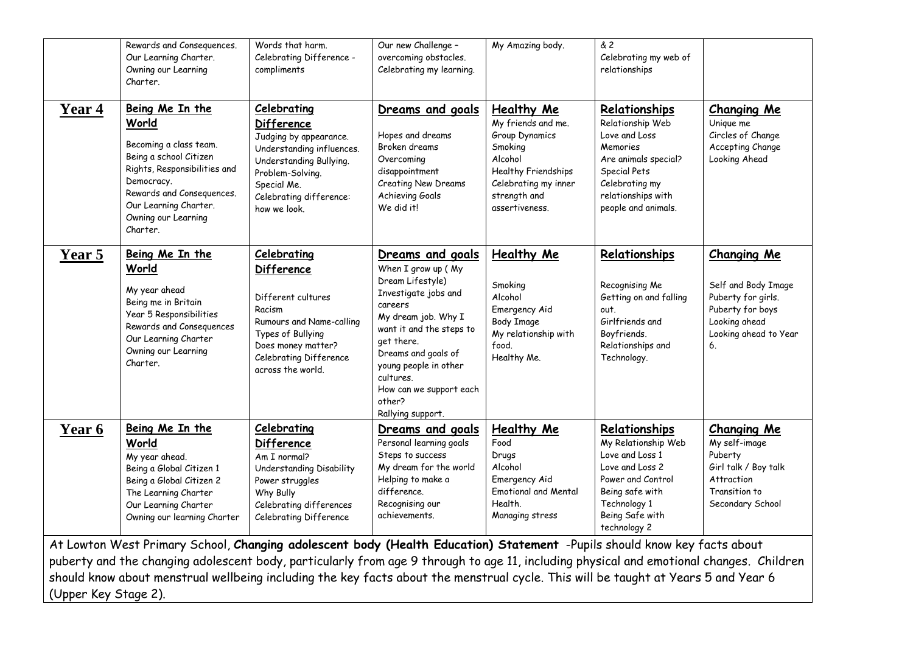|        | Rewards and Consequences.<br>Our Learning Charter.<br>Owning our Learning<br>Charter.                                                                                                                               | Words that harm.<br>Celebrating Difference -<br>compliments                                                                                                                                             | Our new Challenge -<br>overcoming obstacles.<br>Celebrating my learning.                                                                                                                                                                                                              | My Amazing body.                                                                                                                                          | & 2<br>Celebrating my web of<br>relationships                                                                                                                         |                                                                                                                                     |
|--------|---------------------------------------------------------------------------------------------------------------------------------------------------------------------------------------------------------------------|---------------------------------------------------------------------------------------------------------------------------------------------------------------------------------------------------------|---------------------------------------------------------------------------------------------------------------------------------------------------------------------------------------------------------------------------------------------------------------------------------------|-----------------------------------------------------------------------------------------------------------------------------------------------------------|-----------------------------------------------------------------------------------------------------------------------------------------------------------------------|-------------------------------------------------------------------------------------------------------------------------------------|
| Year 4 | Being Me In the<br>World<br>Becoming a class team.<br>Being a school Citizen<br>Rights, Responsibilities and<br>Democracy.<br>Rewards and Consequences.<br>Our Learning Charter.<br>Owning our Learning<br>Charter. | <b>Celebrating</b><br><b>Difference</b><br>Judging by appearance.<br>Understanding influences.<br>Understanding Bullying.<br>Problem-Solving.<br>Special Me.<br>Celebrating difference:<br>how we look. | Dreams and goals<br>Hopes and dreams<br>Broken dreams<br>Overcoming<br>disappointment<br>Creating New Dreams<br>Achieving Goals<br>We did it!                                                                                                                                         | Healthy Me<br>My friends and me.<br>Group Dynamics<br>Smoking<br>Alcohol<br>Healthy Friendships<br>Celebrating my inner<br>strength and<br>assertiveness. | Relationships<br>Relationship Web<br>Love and Loss<br>Memories<br>Are animals special?<br>Special Pets<br>Celebrating my<br>relationships with<br>people and animals. | <b>Changing Me</b><br>Unique me<br>Circles of Change<br>Accepting Change<br>Looking Ahead                                           |
| Year 5 | Being Me In the<br>World<br>My year ahead<br>Being me in Britain<br>Year 5 Responsibilities<br>Rewards and Consequences<br>Our Learning Charter<br>Owning our Learning<br>Charter.                                  | Celebrating<br><b>Difference</b><br>Different cultures<br>Racism<br>Rumours and Name-calling<br>Types of Bullying<br>Does money matter?<br>Celebrating Difference<br>across the world.                  | Dreams and goals<br>When I grow up (My<br>Dream Lifestyle)<br>Investigate jobs and<br>careers<br>My dream job. Why I<br>want it and the steps to<br>get there.<br>Dreams and goals of<br>young people in other<br>cultures.<br>How can we support each<br>other?<br>Rallying support. | <b>Healthy Me</b><br>Smoking<br>Alcohol<br>Emergency Aid<br>Body Image<br>My relationship with<br>food.<br>Healthy Me.                                    | Relationships<br>Recognising Me<br>Getting on and falling<br>out.<br>Girlfriends and<br>Boyfriends.<br>Relationships and<br>Technology.                               | <b>Changing Me</b><br>Self and Body Image<br>Puberty for girls.<br>Puberty for boys<br>Looking ahead<br>Looking ahead to Year<br>6. |
| Year 6 | Being Me In the<br>World<br>My year ahead.<br>Being a Global Citizen 1<br>Being a Global Citizen 2<br>The Learning Charter<br>Our Learning Charter<br>Owning our learning Charter                                   | Celebrating<br><b>Difference</b><br>Am I normal?<br>Understanding Disability<br>Power struggles<br>Why Bully<br>Celebrating differences<br>Celebrating Difference                                       | Dreams and goals<br>Personal learning goals<br>Steps to success<br>My dream for the world<br>Helping to make a<br>difference.<br>Recognising our<br>achievements.                                                                                                                     | Healthy Me<br>Food<br>Drugs<br>Alcohol<br>Emergency Aid<br><b>Emotional and Mental</b><br>Health.<br>Managing stress                                      | Relationships<br>My Relationship Web<br>Love and Loss 1<br>Love and Loss 2<br>Power and Control<br>Being safe with<br>Technology 1<br>Being Safe with<br>technology 2 | <b>Changing Me</b><br>My self-image<br>Puberty<br>Girl talk / Boy talk<br>Attraction<br>Transition to<br>Secondary School           |

puberty and the changing adolescent body, particularly from age 9 through to age 11, including physical and emotional changes. Children should know about menstrual wellbeing including the key facts about the menstrual cycle. This will be taught at Years 5 and Year 6 (Upper Key Stage 2).